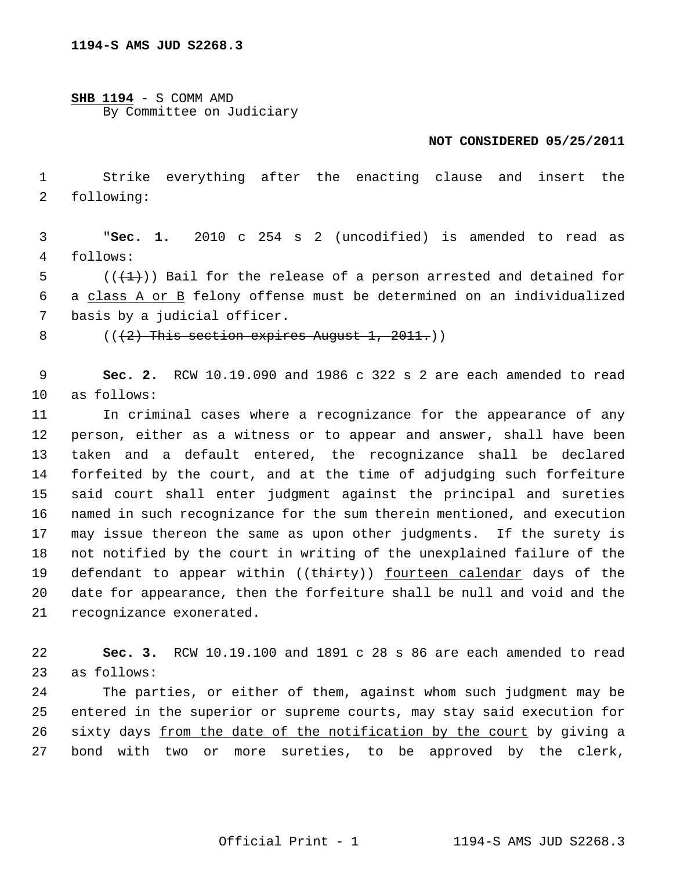**SHB 1194** - S COMM AMD By Committee on Judiciary

## **NOT CONSIDERED 05/25/2011**

 1 Strike everything after the enacting clause and insert the 2 following:

 3 "**Sec. 1.** 2010 c 254 s 2 (uncodified) is amended to read as 4 follows:

5  $((\downarrow \downarrow))$  Bail for the release of a person arrested and detained for 6 a class A or B felony offense must be determined on an individualized 7 basis by a judicial officer.

8  $((2)$  This section expires August 1, 2011.)

 9 **Sec. 2.** RCW 10.19.090 and 1986 c 322 s 2 are each amended to read 10 as follows:

11 In criminal cases where a recognizance for the appearance of any 12 person, either as a witness or to appear and answer, shall have been 13 taken and a default entered, the recognizance shall be declared 14 forfeited by the court, and at the time of adjudging such forfeiture 15 said court shall enter judgment against the principal and sureties 16 named in such recognizance for the sum therein mentioned, and execution 17 may issue thereon the same as upon other judgments. If the surety is 18 not notified by the court in writing of the unexplained failure of the 19 defendant to appear within ((thirty)) fourteen calendar days of the 20 date for appearance, then the forfeiture shall be null and void and the 21 recognizance exonerated.

22 **Sec. 3.** RCW 10.19.100 and 1891 c 28 s 86 are each amended to read 23 as follows:

24 The parties, or either of them, against whom such judgment may be 25 entered in the superior or supreme courts, may stay said execution for 26 sixty days from the date of the notification by the court by giving a 27 bond with two or more sureties, to be approved by the clerk,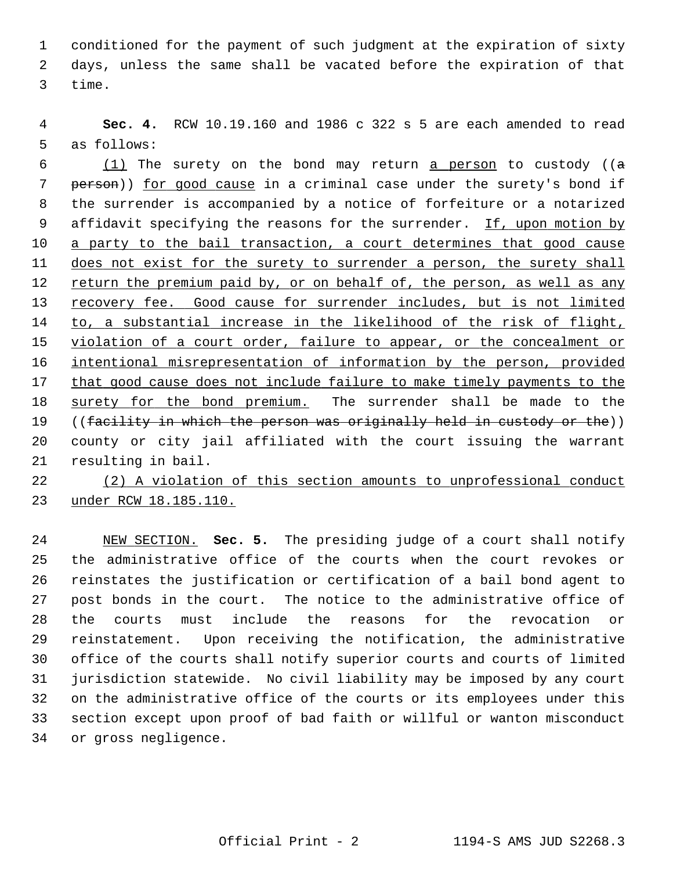1 conditioned for the payment of such judgment at the expiration of sixty 2 days, unless the same shall be vacated before the expiration of that 3 time.

 4 **Sec. 4.** RCW 10.19.160 and 1986 c 322 s 5 are each amended to read 5 as follows:

6  $(1)$  The surety on the bond may return a person to custody (( $\sigma$ ) 7 person)) for good cause in a criminal case under the surety's bond if 8 the surrender is accompanied by a notice of forfeiture or a notarized 9 affidavit specifying the reasons for the surrender. If, upon motion by 10 a party to the bail transaction, a court determines that good cause 11 does not exist for the surety to surrender a person, the surety shall 12 return the premium paid by, or on behalf of, the person, as well as any 13 recovery fee. Good cause for surrender includes, but is not limited 14 to, a substantial increase in the likelihood of the risk of flight, 15 violation of a court order, failure to appear, or the concealment or 16 intentional misrepresentation of information by the person, provided 17 that good cause does not include failure to make timely payments to the 18 surety for the bond premium. The surrender shall be made to the 19 ((facility in which the person was originally held in custody or the)) 20 county or city jail affiliated with the court issuing the warrant 21 resulting in bail.

22 (2) A violation of this section amounts to unprofessional conduct 23 under RCW 18.185.110.

24 NEW SECTION. **Sec. 5.** The presiding judge of a court shall notify 25 the administrative office of the courts when the court revokes or 26 reinstates the justification or certification of a bail bond agent to 27 post bonds in the court. The notice to the administrative office of 28 the courts must include the reasons for the revocation or 29 reinstatement. Upon receiving the notification, the administrative 30 office of the courts shall notify superior courts and courts of limited 31 jurisdiction statewide. No civil liability may be imposed by any court 32 on the administrative office of the courts or its employees under this 33 section except upon proof of bad faith or willful or wanton misconduct 34 or gross negligence.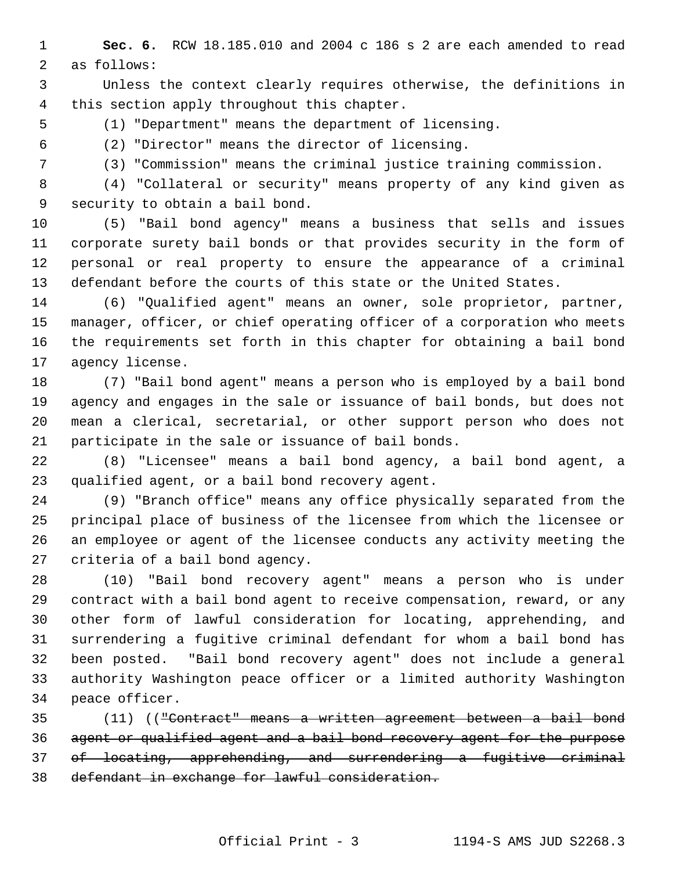1 **Sec. 6.** RCW 18.185.010 and 2004 c 186 s 2 are each amended to read 2 as follows:

 3 Unless the context clearly requires otherwise, the definitions in 4 this section apply throughout this chapter.

5 (1) "Department" means the department of licensing.

6 (2) "Director" means the director of licensing.

7 (3) "Commission" means the criminal justice training commission.

 8 (4) "Collateral or security" means property of any kind given as 9 security to obtain a bail bond.

10 (5) "Bail bond agency" means a business that sells and issues 11 corporate surety bail bonds or that provides security in the form of 12 personal or real property to ensure the appearance of a criminal 13 defendant before the courts of this state or the United States.

14 (6) "Qualified agent" means an owner, sole proprietor, partner, 15 manager, officer, or chief operating officer of a corporation who meets 16 the requirements set forth in this chapter for obtaining a bail bond 17 agency license.

18 (7) "Bail bond agent" means a person who is employed by a bail bond 19 agency and engages in the sale or issuance of bail bonds, but does not 20 mean a clerical, secretarial, or other support person who does not 21 participate in the sale or issuance of bail bonds.

22 (8) "Licensee" means a bail bond agency, a bail bond agent, a 23 qualified agent, or a bail bond recovery agent.

24 (9) "Branch office" means any office physically separated from the 25 principal place of business of the licensee from which the licensee or 26 an employee or agent of the licensee conducts any activity meeting the 27 criteria of a bail bond agency.

28 (10) "Bail bond recovery agent" means a person who is under 29 contract with a bail bond agent to receive compensation, reward, or any 30 other form of lawful consideration for locating, apprehending, and 31 surrendering a fugitive criminal defendant for whom a bail bond has 32 been posted. "Bail bond recovery agent" does not include a general 33 authority Washington peace officer or a limited authority Washington 34 peace officer.

35 (11) (("Contract" means a written agreement between a bail bond agent or qualified agent and a bail bond recovery agent for the purpose of locating, apprehending, and surrendering a fugitive criminal defendant in exchange for lawful consideration.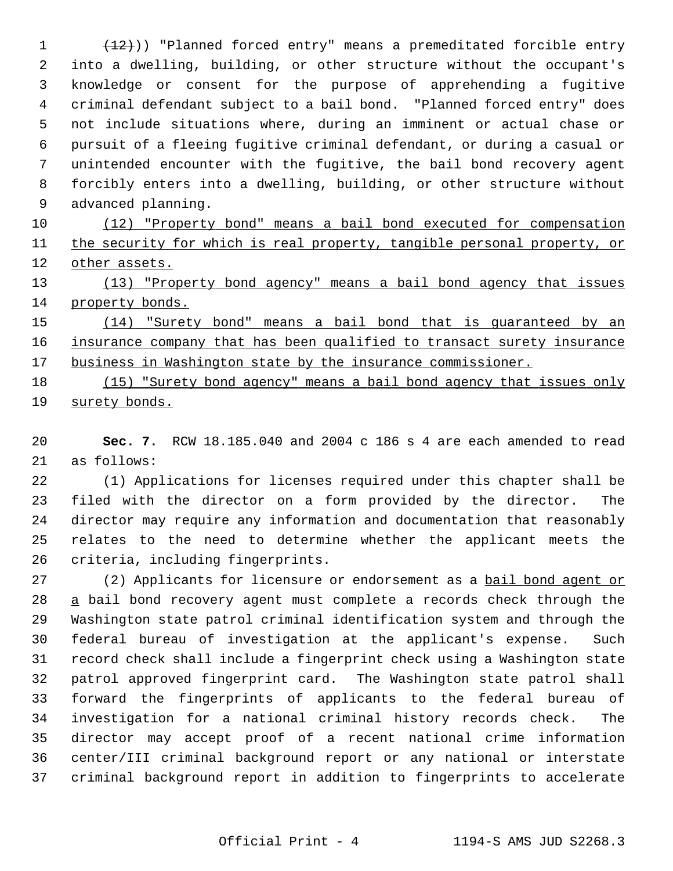1 (12))) "Planned forced entry" means a premeditated forcible entry 2 into a dwelling, building, or other structure without the occupant's 3 knowledge or consent for the purpose of apprehending a fugitive 4 criminal defendant subject to a bail bond. "Planned forced entry" does 5 not include situations where, during an imminent or actual chase or 6 pursuit of a fleeing fugitive criminal defendant, or during a casual or 7 unintended encounter with the fugitive, the bail bond recovery agent 8 forcibly enters into a dwelling, building, or other structure without 9 advanced planning.

10 (12) "Property bond" means a bail bond executed for compensation 11 the security for which is real property, tangible personal property, or 12 other assets.

13 (13) "Property bond agency" means a bail bond agency that issues 14 property bonds.

15 (14) "Surety bond" means a bail bond that is guaranteed by an 16 insurance company that has been qualified to transact surety insurance 17 business in Washington state by the insurance commissioner.

18 (15) "Surety bond agency" means a bail bond agency that issues only 19 surety bonds.

20 **Sec. 7.** RCW 18.185.040 and 2004 c 186 s 4 are each amended to read 21 as follows:

22 (1) Applications for licenses required under this chapter shall be 23 filed with the director on a form provided by the director. The 24 director may require any information and documentation that reasonably 25 relates to the need to determine whether the applicant meets the 26 criteria, including fingerprints.

27 (2) Applicants for licensure or endorsement as a bail bond agent or 28 a bail bond recovery agent must complete a records check through the 29 Washington state patrol criminal identification system and through the 30 federal bureau of investigation at the applicant's expense. Such 31 record check shall include a fingerprint check using a Washington state 32 patrol approved fingerprint card. The Washington state patrol shall 33 forward the fingerprints of applicants to the federal bureau of 34 investigation for a national criminal history records check. The 35 director may accept proof of a recent national crime information 36 center/III criminal background report or any national or interstate 37 criminal background report in addition to fingerprints to accelerate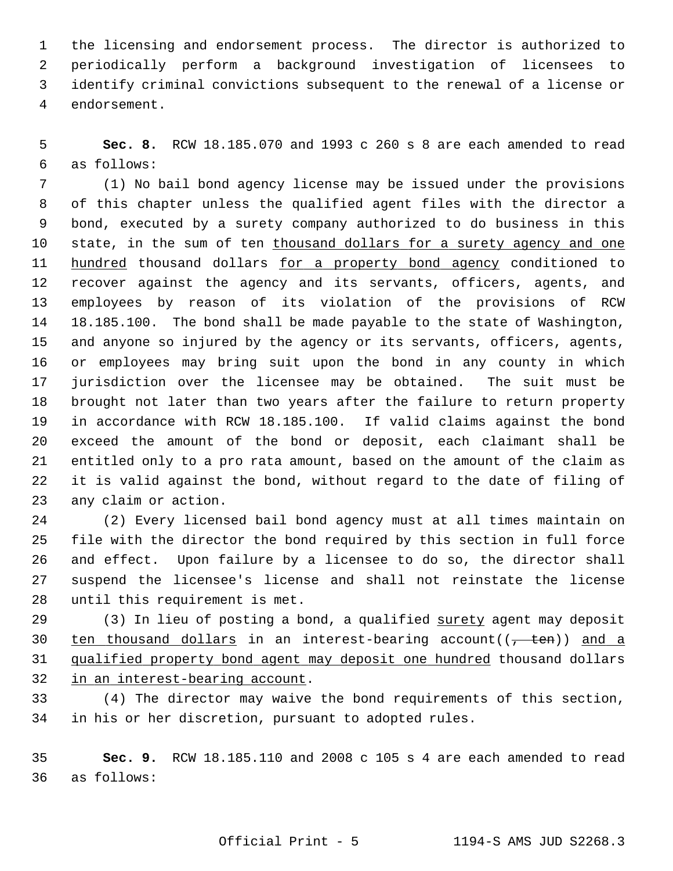1 the licensing and endorsement process. The director is authorized to 2 periodically perform a background investigation of licensees to 3 identify criminal convictions subsequent to the renewal of a license or 4 endorsement.

 5 **Sec. 8.** RCW 18.185.070 and 1993 c 260 s 8 are each amended to read 6 as follows:

 7 (1) No bail bond agency license may be issued under the provisions 8 of this chapter unless the qualified agent files with the director a 9 bond, executed by a surety company authorized to do business in this 10 state, in the sum of ten thousand dollars for a surety agency and one 11 hundred thousand dollars for a property bond agency conditioned to 12 recover against the agency and its servants, officers, agents, and 13 employees by reason of its violation of the provisions of RCW 14 18.185.100. The bond shall be made payable to the state of Washington, 15 and anyone so injured by the agency or its servants, officers, agents, 16 or employees may bring suit upon the bond in any county in which 17 jurisdiction over the licensee may be obtained. The suit must be 18 brought not later than two years after the failure to return property 19 in accordance with RCW 18.185.100. If valid claims against the bond 20 exceed the amount of the bond or deposit, each claimant shall be 21 entitled only to a pro rata amount, based on the amount of the claim as 22 it is valid against the bond, without regard to the date of filing of 23 any claim or action.

24 (2) Every licensed bail bond agency must at all times maintain on 25 file with the director the bond required by this section in full force 26 and effect. Upon failure by a licensee to do so, the director shall 27 suspend the licensee's license and shall not reinstate the license 28 until this requirement is met.

29 (3) In lieu of posting a bond, a qualified surety agent may deposit 30 ten thousand dollars in an interest-bearing account( $(\frac{1}{f} + \epsilon n)$ ) and a 31 qualified property bond agent may deposit one hundred thousand dollars 32 in an interest-bearing account.

33 (4) The director may waive the bond requirements of this section, 34 in his or her discretion, pursuant to adopted rules.

35 **Sec. 9.** RCW 18.185.110 and 2008 c 105 s 4 are each amended to read 36 as follows: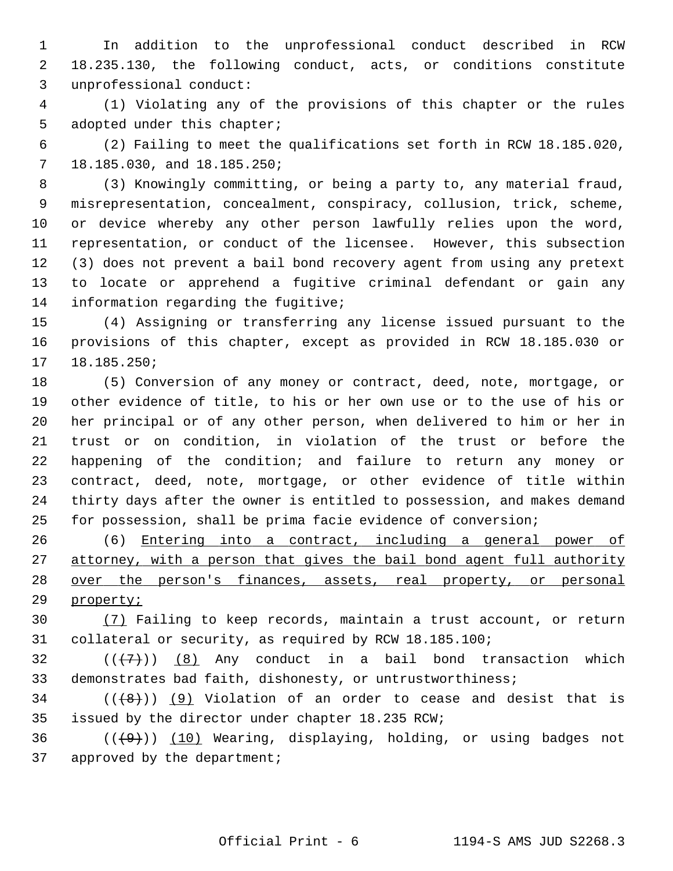1 In addition to the unprofessional conduct described in RCW 2 18.235.130, the following conduct, acts, or conditions constitute 3 unprofessional conduct:

 4 (1) Violating any of the provisions of this chapter or the rules 5 adopted under this chapter;

 6 (2) Failing to meet the qualifications set forth in RCW 18.185.020, 7 18.185.030, and 18.185.250;

 8 (3) Knowingly committing, or being a party to, any material fraud, 9 misrepresentation, concealment, conspiracy, collusion, trick, scheme, 10 or device whereby any other person lawfully relies upon the word, 11 representation, or conduct of the licensee. However, this subsection 12 (3) does not prevent a bail bond recovery agent from using any pretext 13 to locate or apprehend a fugitive criminal defendant or gain any 14 information regarding the fugitive;

15 (4) Assigning or transferring any license issued pursuant to the 16 provisions of this chapter, except as provided in RCW 18.185.030 or 17 18.185.250;

18 (5) Conversion of any money or contract, deed, note, mortgage, or 19 other evidence of title, to his or her own use or to the use of his or 20 her principal or of any other person, when delivered to him or her in 21 trust or on condition, in violation of the trust or before the 22 happening of the condition; and failure to return any money or 23 contract, deed, note, mortgage, or other evidence of title within 24 thirty days after the owner is entitled to possession, and makes demand 25 for possession, shall be prima facie evidence of conversion;

26 (6) Entering into a contract, including a general power of 27 attorney, with a person that gives the bail bond agent full authority 28 over the person's finances, assets, real property, or personal 29 property;

30 (7) Failing to keep records, maintain a trust account, or return 31 collateral or security, as required by RCW 18.185.100;

 $32$  ( $(\overline{+7})$ ) (8) Any conduct in a bail bond transaction which 33 demonstrates bad faith, dishonesty, or untrustworthiness;

 $34$  (( $(8)$ )) (9) Violation of an order to cease and desist that is 35 issued by the director under chapter 18.235 RCW;

 $36$  (( $\left(\frac{49}{10}\right)$  (10) Wearing, displaying, holding, or using badges not 37 approved by the department;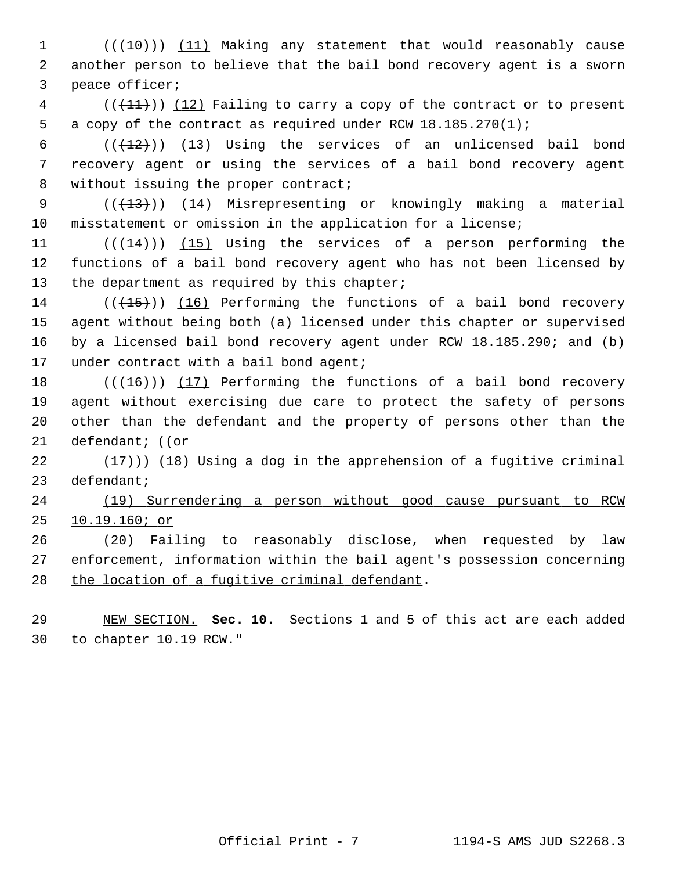1 (( $(10)$ ) (11) Making any statement that would reasonably cause 2 another person to believe that the bail bond recovery agent is a sworn 3 peace officer;

 $4$  (( $(11)$ )) (12) Failing to carry a copy of the contract or to present 5 a copy of the contract as required under RCW 18.185.270(1);

6  $((+12))$  (13) Using the services of an unlicensed bail bond 7 recovery agent or using the services of a bail bond recovery agent 8 without issuing the proper contract;

9 (( $\left(\frac{13}{13}\right)$ ) (14) Misrepresenting or knowingly making a material 10 misstatement or omission in the application for a license;

11  $((+14))$   $(15)$  Using the services of a person performing the 12 functions of a bail bond recovery agent who has not been licensed by 13 the department as required by this chapter;

 $14$  (( $(15)$ )) (16) Performing the functions of a bail bond recovery 15 agent without being both (a) licensed under this chapter or supervised 16 by a licensed bail bond recovery agent under RCW 18.185.290; and (b) 17 under contract with a bail bond agent;

18  $((+16))$  (17) Performing the functions of a bail bond recovery 19 agent without exercising due care to protect the safety of persons 20 other than the defendant and the property of persons other than the 21 defendant;  $(6r$ 

22  $(18)$  (18) Using a dog in the apprehension of a fugitive criminal 23 defendant;

24 (19) Surrendering a person without good cause pursuant to RCW 25 10.19.160; or

26 (20) Failing to reasonably disclose, when requested by law 27 enforcement, information within the bail agent's possession concerning 28 the location of a fugitive criminal defendant.

29 NEW SECTION. **Sec. 10.** Sections 1 and 5 of this act are each added 30 to chapter 10.19 RCW."